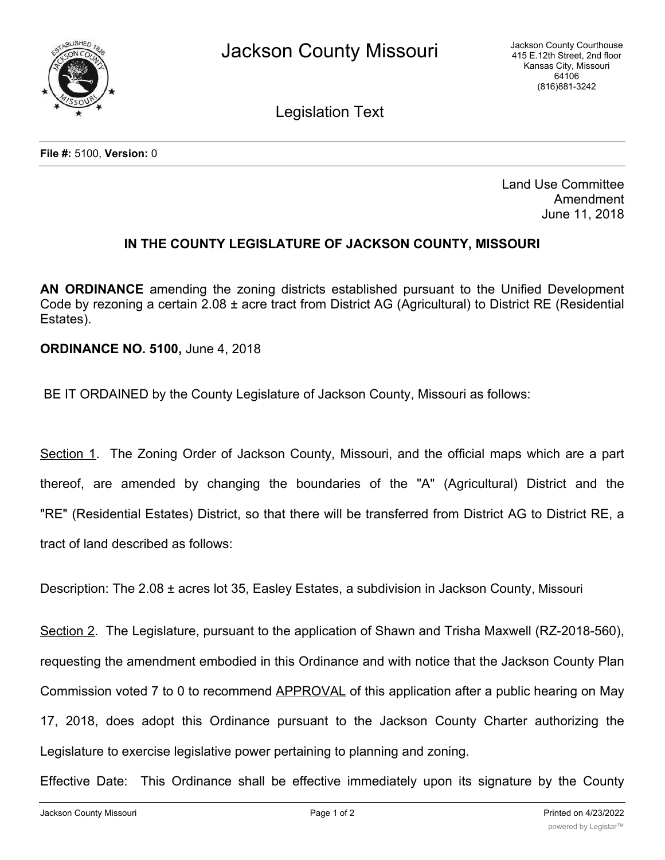

Legislation Text

Land Use Committee Amendment June 11, 2018

## **IN THE COUNTY LEGISLATURE OF JACKSON COUNTY, MISSOURI**

**AN ORDINANCE** amending the zoning districts established pursuant to the Unified Development Code by rezoning a certain 2.08 ± acre tract from District AG (Agricultural) to District RE (Residential Estates).

**ORDINANCE NO. 5100,** June 4, 2018

BE IT ORDAINED by the County Legislature of Jackson County, Missouri as follows:

Section 1. The Zoning Order of Jackson County, Missouri, and the official maps which are a part thereof, are amended by changing the boundaries of the "A" (Agricultural) District and the "RE" (Residential Estates) District, so that there will be transferred from District AG to District RE, a tract of land described as follows:

Description: The 2.08 ± acres lot 35, Easley Estates, a subdivision in Jackson County, Missouri

Section 2. The Legislature, pursuant to the application of Shawn and Trisha Maxwell (RZ-2018-560), requesting the amendment embodied in this Ordinance and with notice that the Jackson County Plan Commission voted 7 to 0 to recommend APPROVAL of this application after a public hearing on May 17, 2018, does adopt this Ordinance pursuant to the Jackson County Charter authorizing the Legislature to exercise legislative power pertaining to planning and zoning.

Effective Date: This Ordinance shall be effective immediately upon its signature by the County